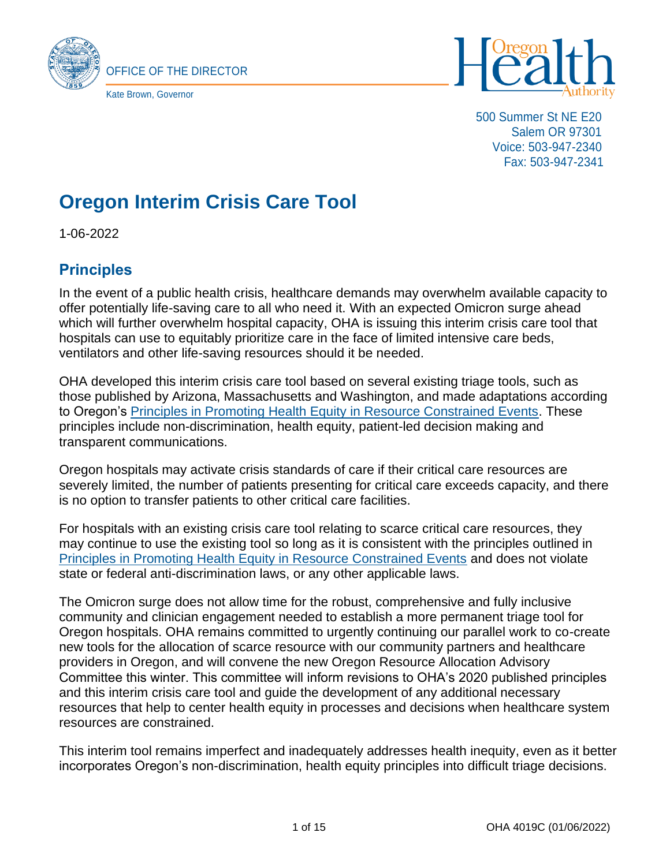



500 Summer St NE E20 Salem OR 97301 Voice: 503-947-2340 Fax: 503-947-2341

# **Oregon Interim Crisis Care Tool**

1-06-2022

# **Principles**

In the event of a public health crisis, healthcare demands may overwhelm available capacity to offer potentially life-saving care to all who need it. With an expected Omicron surge ahead which will further overwhelm hospital capacity, OHA is issuing this interim crisis care tool that hospitals can use to equitably prioritize care in the face of limited intensive care beds, ventilators and other life-saving resources should it be needed.

OHA developed this interim crisis care tool based on several existing triage tools, such as those published by Arizona, Massachusetts and Washington, and made adaptations according to Oregon's [Principles in Promoting Health Equity in Resource Constrained Events.](file:///C:/Users/sko/AppData/Local/Microsoft/Windows/INetCache/Content.Outlook/Q0OVLTJJ/Ccm.pitt.edu/%3fq=content/additional-equity-interventions-revised-pandemic-policy-allocate-scarce-critical-care) These principles include non-discrimination, health equity, patient-led decision making and transparent communications.

Oregon hospitals may activate crisis standards of care if their critical care resources are severely limited, the number of patients presenting for critical care exceeds capacity, and there is no option to transfer patients to other critical care facilities.

For hospitals with an existing crisis care tool relating to scarce critical care resources, they may continue to use the existing tool so long as it is consistent with the principles outlined in [Principles in Promoting Health Equity in Resource Constrained Events](file:///C:/Users/sko/AppData/Local/Microsoft/Windows/INetCache/Content.Outlook/Q0OVLTJJ/Ccm.pitt.edu/%3fq=content/additional-equity-interventions-revised-pandemic-policy-allocate-scarce-critical-care) and does not violate state or federal anti-discrimination laws, or any other applicable laws.

The Omicron surge does not allow time for the robust, comprehensive and fully inclusive community and clinician engagement needed to establish a more permanent triage tool for Oregon hospitals. OHA remains committed to urgently continuing our parallel work to co-create new tools for the allocation of scarce resource with our community partners and healthcare providers in Oregon, and will convene the new Oregon Resource Allocation Advisory Committee this winter. This committee will inform revisions to OHA's 2020 published principles and this interim crisis care tool and guide the development of any additional necessary resources that help to center health equity in processes and decisions when healthcare system resources are constrained.

This interim tool remains imperfect and inadequately addresses health inequity, even as it better incorporates Oregon's non-discrimination, health equity principles into difficult triage decisions.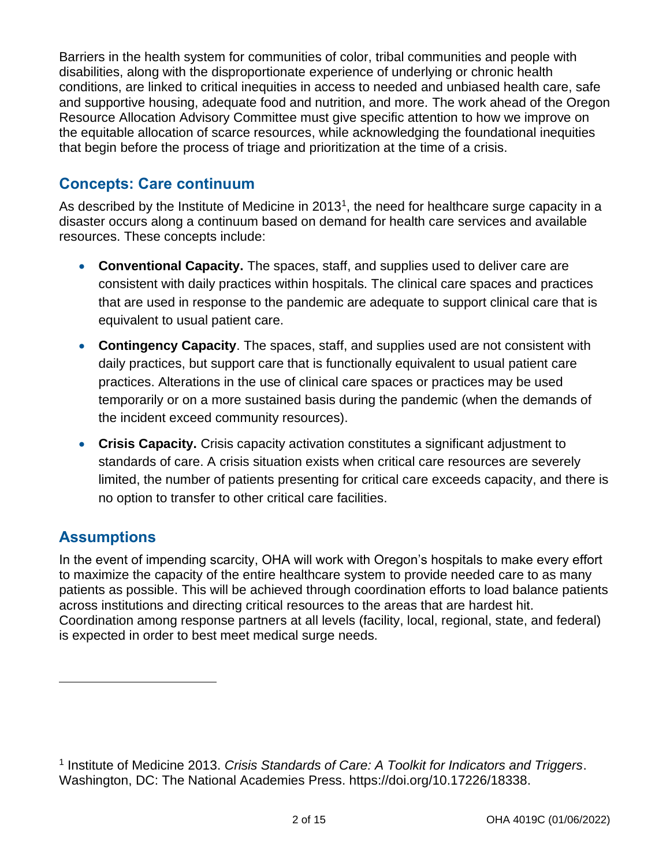Barriers in the health system for communities of color, tribal communities and people with disabilities, along with the disproportionate experience of underlying or chronic health conditions, are linked to critical inequities in access to needed and unbiased health care, safe and supportive housing, adequate food and nutrition, and more. The work ahead of the Oregon Resource Allocation Advisory Committee must give specific attention to how we improve on the equitable allocation of scarce resources, while acknowledging the foundational inequities that begin before the process of triage and prioritization at the time of a crisis.

# **Concepts: Care continuum**

As described by the Institute of Medicine in 2013<sup>1</sup>, the need for healthcare surge capacity in a disaster occurs along a continuum based on demand for health care services and available resources. These concepts include:

- **Conventional Capacity.** The spaces, staff, and supplies used to deliver care are consistent with daily practices within hospitals. The clinical care spaces and practices that are used in response to the pandemic are adequate to support clinical care that is equivalent to usual patient care.
- **Contingency Capacity**. The spaces, staff, and supplies used are not consistent with daily practices, but support care that is functionally equivalent to usual patient care practices. Alterations in the use of clinical care spaces or practices may be used temporarily or on a more sustained basis during the pandemic (when the demands of the incident exceed community resources).
- **Crisis Capacity.** Crisis capacity activation constitutes a significant adjustment to standards of care. A crisis situation exists when critical care resources are severely limited, the number of patients presenting for critical care exceeds capacity, and there is no option to transfer to other critical care facilities.

# **Assumptions**

In the event of impending scarcity, OHA will work with Oregon's hospitals to make every effort to maximize the capacity of the entire healthcare system to provide needed care to as many patients as possible. This will be achieved through coordination efforts to load balance patients across institutions and directing critical resources to the areas that are hardest hit. Coordination among response partners at all levels (facility, local, regional, state, and federal) is expected in order to best meet medical surge needs.

<sup>1</sup> Institute of Medicine 2013. *Crisis Standards of Care: A Toolkit for Indicators and Triggers*. Washington, DC: The National Academies Press. https://doi.org/10.17226/18338.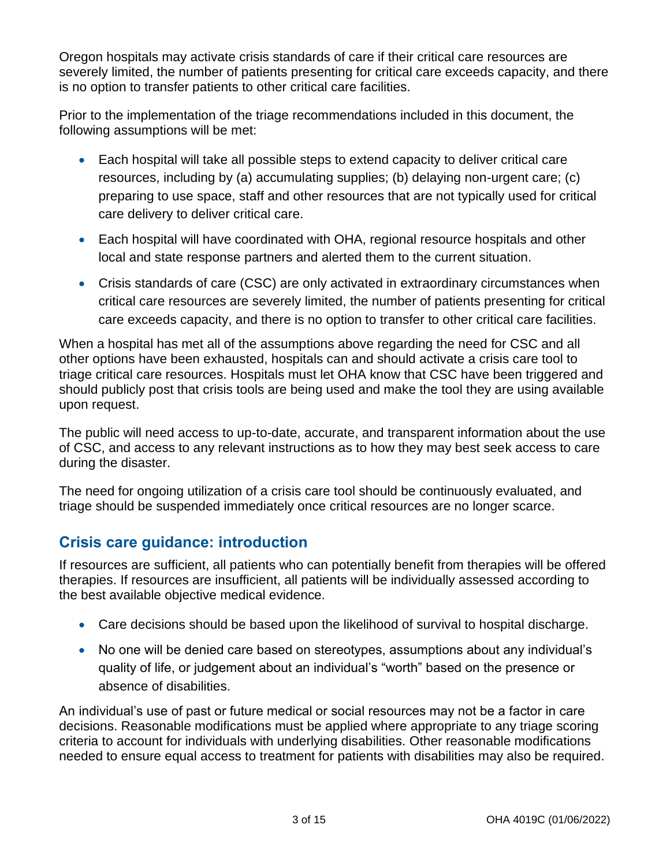Oregon hospitals may activate crisis standards of care if their critical care resources are severely limited, the number of patients presenting for critical care exceeds capacity, and there is no option to transfer patients to other critical care facilities.

Prior to the implementation of the triage recommendations included in this document, the following assumptions will be met:

- Each hospital will take all possible steps to extend capacity to deliver critical care resources, including by (a) accumulating supplies; (b) delaying non-urgent care; (c) preparing to use space, staff and other resources that are not typically used for critical care delivery to deliver critical care.
- Each hospital will have coordinated with OHA, regional resource hospitals and other local and state response partners and alerted them to the current situation.
- Crisis standards of care (CSC) are only activated in extraordinary circumstances when critical care resources are severely limited, the number of patients presenting for critical care exceeds capacity, and there is no option to transfer to other critical care facilities.

When a hospital has met all of the assumptions above regarding the need for CSC and all other options have been exhausted, hospitals can and should activate a crisis care tool to triage critical care resources. Hospitals must let OHA know that CSC have been triggered and should publicly post that crisis tools are being used and make the tool they are using available upon request.

The public will need access to up-to-date, accurate, and transparent information about the use of CSC, and access to any relevant instructions as to how they may best seek access to care during the disaster.

The need for ongoing utilization of a crisis care tool should be continuously evaluated, and triage should be suspended immediately once critical resources are no longer scarce.

# **Crisis care guidance: introduction**

If resources are sufficient, all patients who can potentially benefit from therapies will be offered therapies. If resources are insufficient, all patients will be individually assessed according to the best available objective medical evidence.

- Care decisions should be based upon the likelihood of survival to hospital discharge.
- No one will be denied care based on stereotypes, assumptions about any individual's quality of life, or judgement about an individual's "worth" based on the presence or absence of disabilities.

An individual's use of past or future medical or social resources may not be a factor in care decisions. Reasonable modifications must be applied where appropriate to any triage scoring criteria to account for individuals with underlying disabilities. Other reasonable modifications needed to ensure equal access to treatment for patients with disabilities may also be required.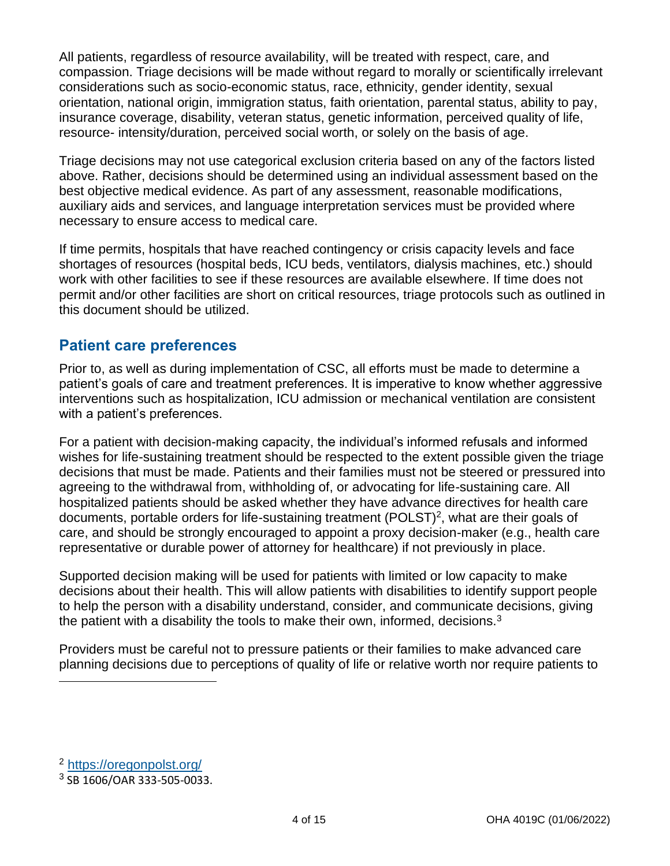All patients, regardless of resource availability, will be treated with respect, care, and compassion. Triage decisions will be made without regard to morally or scientifically irrelevant considerations such as socio-economic status, race, ethnicity, gender identity, sexual orientation, national origin, immigration status, faith orientation, parental status, ability to pay, insurance coverage, disability, veteran status, genetic information, perceived quality of life, resource- intensity/duration, perceived social worth, or solely on the basis of age.

Triage decisions may not use categorical exclusion criteria based on any of the factors listed above. Rather, decisions should be determined using an individual assessment based on the best objective medical evidence. As part of any assessment, reasonable modifications, auxiliary aids and services, and language interpretation services must be provided where necessary to ensure access to medical care.

If time permits, hospitals that have reached contingency or crisis capacity levels and face shortages of resources (hospital beds, ICU beds, ventilators, dialysis machines, etc.) should work with other facilities to see if these resources are available elsewhere. If time does not permit and/or other facilities are short on critical resources, triage protocols such as outlined in this document should be utilized.

### **Patient care preferences**

Prior to, as well as during implementation of CSC, all efforts must be made to determine a patient's goals of care and treatment preferences. It is imperative to know whether aggressive interventions such as hospitalization, ICU admission or mechanical ventilation are consistent with a patient's preferences.

For a patient with decision-making capacity, the individual's informed refusals and informed wishes for life-sustaining treatment should be respected to the extent possible given the triage decisions that must be made. Patients and their families must not be steered or pressured into agreeing to the withdrawal from, withholding of, or advocating for life-sustaining care. All hospitalized patients should be asked whether they have advance directives for health care documents, portable orders for life-sustaining treatment (POLST)<sup>2</sup>, what are their goals of care, and should be strongly encouraged to appoint a proxy decision-maker (e.g., health care representative or durable power of attorney for healthcare) if not previously in place.

Supported decision making will be used for patients with limited or low capacity to make decisions about their health. This will allow patients with disabilities to identify support people to help the person with a disability understand, consider, and communicate decisions, giving the patient with a disability the tools to make their own, informed, decisions.<sup>3</sup>

Providers must be careful not to pressure patients or their families to make advanced care planning decisions due to perceptions of quality of life or relative worth nor require patients to

<sup>2</sup> <https://oregonpolst.org/>

<sup>3</sup> SB 1606/OAR 333-505-0033.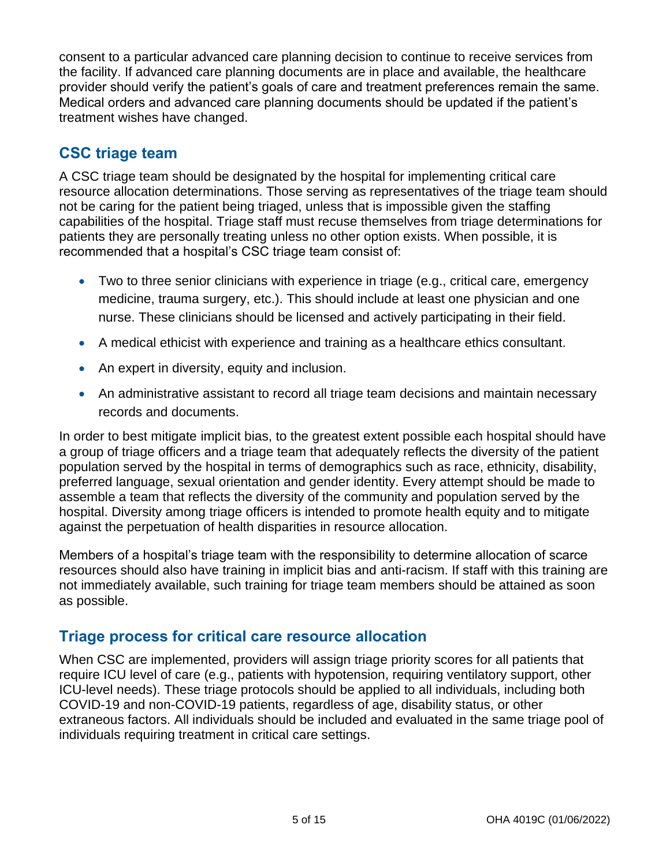consent to a particular advanced care planning decision to continue to receive services from the facility. If advanced care planning documents are in place and available, the healthcare provider should verify the patient's goals of care and treatment preferences remain the same. Medical orders and advanced care planning documents should be updated if the patient's treatment wishes have changed.

## **CSC triage team**

A CSC triage team should be designated by the hospital for implementing critical care resource allocation determinations. Those serving as representatives of the triage team should not be caring for the patient being triaged, unless that is impossible given the staffing capabilities of the hospital. Triage staff must recuse themselves from triage determinations for patients they are personally treating unless no other option exists. When possible, it is recommended that a hospital's CSC triage team consist of:

- Two to three senior clinicians with experience in triage (e.g., critical care, emergency medicine, trauma surgery, etc.). This should include at least one physician and one nurse. These clinicians should be licensed and actively participating in their field.
- A medical ethicist with experience and training as a healthcare ethics consultant.
- An expert in diversity, equity and inclusion.
- An administrative assistant to record all triage team decisions and maintain necessary records and documents.

In order to best mitigate implicit bias, to the greatest extent possible each hospital should have a group of triage officers and a triage team that adequately reflects the diversity of the patient population served by the hospital in terms of demographics such as race, ethnicity, disability, preferred language, sexual orientation and gender identity. Every attempt should be made to assemble a team that reflects the diversity of the community and population served by the hospital. Diversity among triage officers is intended to promote health equity and to mitigate against the perpetuation of health disparities in resource allocation.

Members of a hospital's triage team with the responsibility to determine allocation of scarce resources should also have training in implicit bias and anti-racism. If staff with this training are not immediately available, such training for triage team members should be attained as soon as possible.

## **Triage process for critical care resource allocation**

When CSC are implemented, providers will assign triage priority scores for all patients that require ICU level of care (e.g., patients with hypotension, requiring ventilatory support, other ICU-level needs). These triage protocols should be applied to all individuals, including both COVID-19 and non-COVID-19 patients, regardless of age, disability status, or other extraneous factors. All individuals should be included and evaluated in the same triage pool of individuals requiring treatment in critical care settings.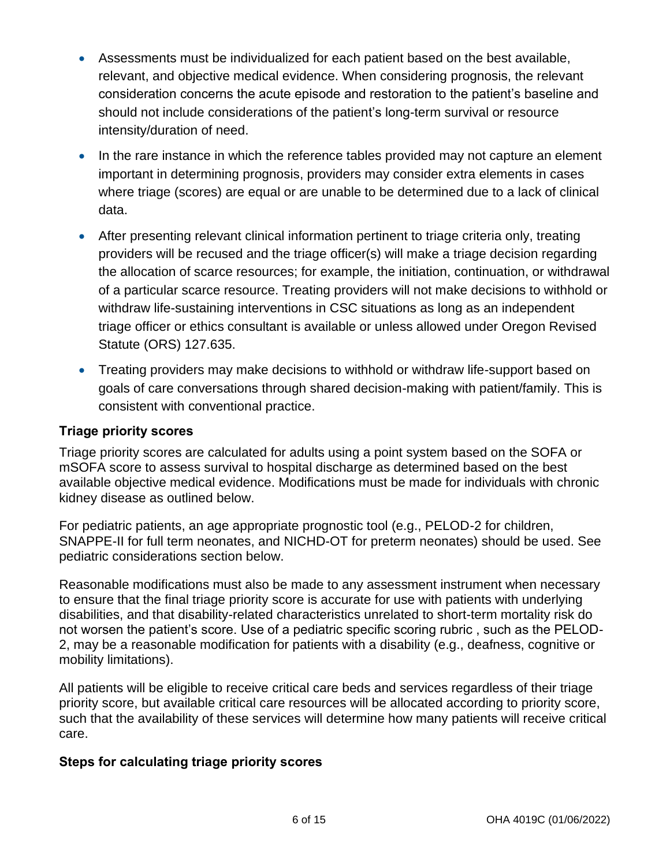- Assessments must be individualized for each patient based on the best available, relevant, and objective medical evidence. When considering prognosis, the relevant consideration concerns the acute episode and restoration to the patient's baseline and should not include considerations of the patient's long-term survival or resource intensity/duration of need.
- In the rare instance in which the reference tables provided may not capture an element important in determining prognosis, providers may consider extra elements in cases where triage (scores) are equal or are unable to be determined due to a lack of clinical data.
- After presenting relevant clinical information pertinent to triage criteria only, treating providers will be recused and the triage officer(s) will make a triage decision regarding the allocation of scarce resources; for example, the initiation, continuation, or withdrawal of a particular scarce resource. Treating providers will not make decisions to withhold or withdraw life-sustaining interventions in CSC situations as long as an independent triage officer or ethics consultant is available or unless allowed under Oregon Revised Statute (ORS) 127.635.
- Treating providers may make decisions to withhold or withdraw life-support based on goals of care conversations through shared decision-making with patient/family. This is consistent with conventional practice.

#### **Triage priority scores**

Triage priority scores are calculated for adults using a point system based on the SOFA or mSOFA score to assess survival to hospital discharge as determined based on the best available objective medical evidence. Modifications must be made for individuals with chronic kidney disease as outlined below.

For pediatric patients, an age appropriate prognostic tool (e.g., PELOD-2 for children, SNAPPE-II for full term neonates, and NICHD-OT for preterm neonates) should be used. See pediatric considerations section below.

Reasonable modifications must also be made to any assessment instrument when necessary to ensure that the final triage priority score is accurate for use with patients with underlying disabilities, and that disability-related characteristics unrelated to short-term mortality risk do not worsen the patient's score. Use of a pediatric specific scoring rubric , such as the PELOD-2, may be a reasonable modification for patients with a disability (e.g., deafness, cognitive or mobility limitations).

All patients will be eligible to receive critical care beds and services regardless of their triage priority score, but available critical care resources will be allocated according to priority score, such that the availability of these services will determine how many patients will receive critical care.

#### **Steps for calculating triage priority scores**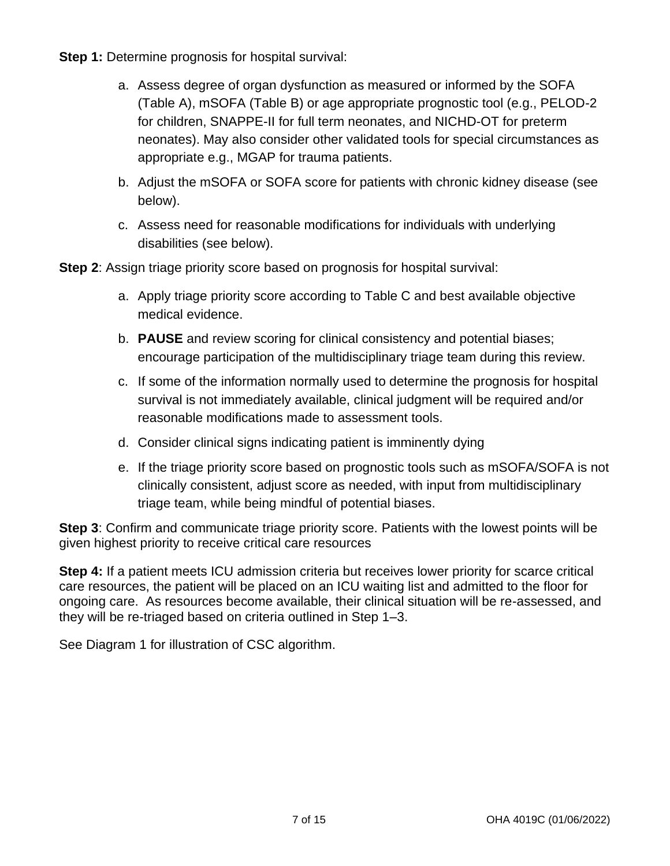**Step 1:** Determine prognosis for hospital survival:

- a. Assess degree of organ dysfunction as measured or informed by the SOFA (Table A), mSOFA (Table B) or age appropriate prognostic tool (e.g., PELOD-2 for children, SNAPPE-II for full term neonates, and NICHD-OT for preterm neonates). May also consider other validated tools for special circumstances as appropriate e.g., MGAP for trauma patients.
- b. Adjust the mSOFA or SOFA score for patients with chronic kidney disease (see below).
- c. Assess need for reasonable modifications for individuals with underlying disabilities (see below).

**Step 2**: Assign triage priority score based on prognosis for hospital survival:

- a. Apply triage priority score according to Table C and best available objective medical evidence.
- b. **PAUSE** and review scoring for clinical consistency and potential biases; encourage participation of the multidisciplinary triage team during this review.
- c. If some of the information normally used to determine the prognosis for hospital survival is not immediately available, clinical judgment will be required and/or reasonable modifications made to assessment tools.
- d. Consider clinical signs indicating patient is imminently dying
- e. If the triage priority score based on prognostic tools such as mSOFA/SOFA is not clinically consistent, adjust score as needed, with input from multidisciplinary triage team, while being mindful of potential biases.

**Step 3**: Confirm and communicate triage priority score. Patients with the lowest points will be given highest priority to receive critical care resources

**Step 4:** If a patient meets ICU admission criteria but receives lower priority for scarce critical care resources, the patient will be placed on an ICU waiting list and admitted to the floor for ongoing care. As resources become available, their clinical situation will be re-assessed, and they will be re-triaged based on criteria outlined in Step 1–3.

See Diagram 1 for illustration of CSC algorithm.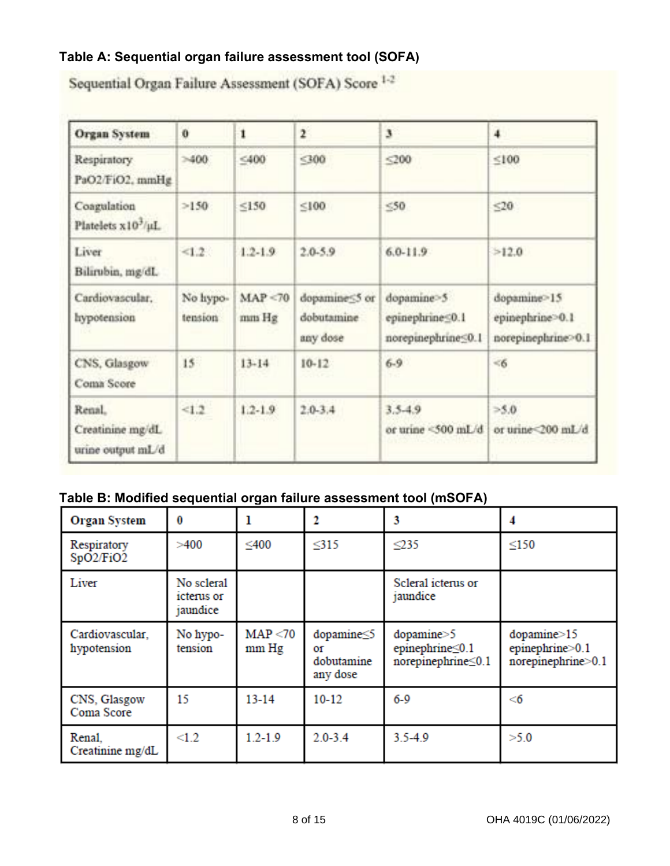### **Table A: Sequential organ failure assessment tool (SOFA)**

| <b>Organ System</b>                             | ö                   | 1                 | $\mathbf{r}$                            | 3                                                   | 4                                                    |
|-------------------------------------------------|---------------------|-------------------|-----------------------------------------|-----------------------------------------------------|------------------------------------------------------|
| <b>Respiratory</b><br>PaO2/FiO2, mmHg           | >400                | $<$ 400           | 300                                     | $200$                                               | ≤100                                                 |
| Coagulation<br>Platelets x10 <sup>3</sup> /µL   | >150                | ≤150              | 5100                                    | $\leq 50$                                           | ≤20                                                  |
| Liver<br>Bilirubin, mg/dL                       | <1.2                | $1.2 - 1.9$       | $2.0 - 5.9$                             | $6.0 - 11.9$                                        | >12.0                                                |
| Cardiovascular.<br>hypotension                  | No hypo-<br>tension | MAP < 70<br>mm Hg | dopamine55 or<br>dobutamine<br>any dose | dopamine-5<br>epinephrine50.1<br>norepinephrine50.1 | dopamine>15<br>epinephrine>0.1<br>norepinephrine>0.1 |
| CNS, Glasgow<br>Coma Score                      | 15                  | $13 - 14$         | $10-12$                                 | $6-9$                                               | < 6                                                  |
| Renal.<br>Creatinine mg/dL<br>urine output mL/d | <1.2                | $1.2 - 1.9$       | $2.0 - 3.4$                             | 3.5.4.9<br>or urine <500 mL/d                       | >5.0<br>or urine<200 mL/d                            |

Sequential Organ Failure Assessment (SOFA) Score 1-2

### **Table B: Modified sequential organ failure assessment tool (mSOFA)**

| <b>Organ System</b>            | 0                                    | 1                 | 2                                          | 3                                                              | 4                                                               |
|--------------------------------|--------------------------------------|-------------------|--------------------------------------------|----------------------------------------------------------------|-----------------------------------------------------------------|
| Respiratory<br>SpO2/FiO2       | >400                                 | ≤400              | $315$                                      | $\leq$ 235                                                     | $\leq$ 150                                                      |
| Liver                          | No scleral<br>icterus or<br>jaundice |                   |                                            | Scleral icterus or<br>jaundice                                 |                                                                 |
| Cardiovascular,<br>hypotension | No hypo-<br>tension                  | MAP < 70<br>mm Hg | dopamine<5<br>Οf<br>dobutamine<br>any dose | $\text{dopamine} > 5$<br>epinephrine≤0.1<br>norepinephrine<0.1 | $\text{dopamine}$ = 15<br>epinephrine>0.1<br>norepinephrine>0.1 |
| CNS, Glasgow<br>Coma Score     | 15                                   | $13 - 14$         | $10-12$                                    | $6 - 9$                                                        | $<$ 6                                                           |
| Renal.<br>Creatinine mg/dL     | $\leq1.2$                            | $1.2 - 1.9$       | $2.0 - 3.4$                                | $3.5 - 4.9$                                                    | >5.0                                                            |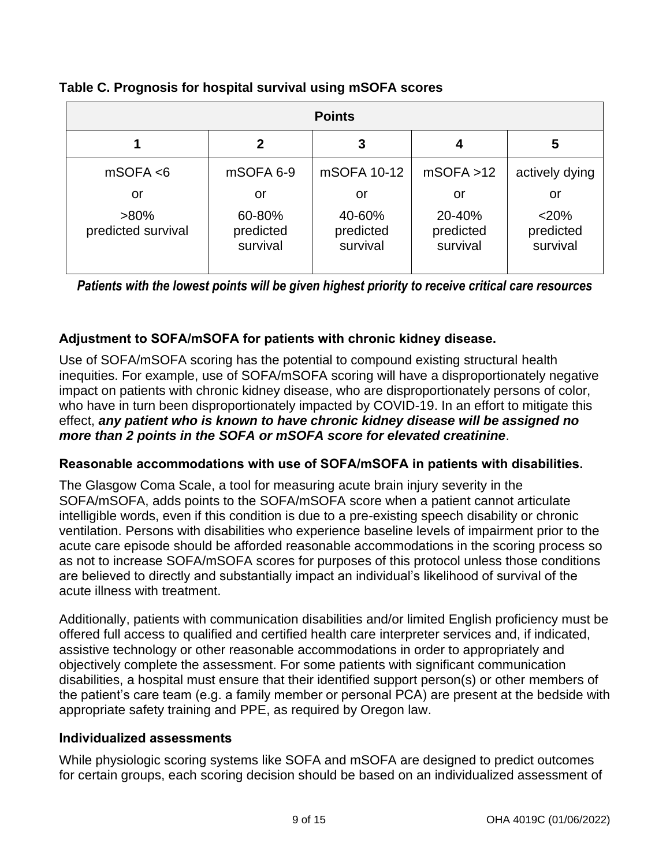| <b>Points</b>                       |                           |                           |                           |                          |  |  |  |  |  |
|-------------------------------------|---------------------------|---------------------------|---------------------------|--------------------------|--|--|--|--|--|
|                                     | 2                         | 3                         |                           | 5                        |  |  |  |  |  |
| mSOFA < 6                           | mSOFA 6-9                 | mSOFA 10-12               | mSOFA > 12                | actively dying           |  |  |  |  |  |
| or<br>$>80\%$<br>predicted survival | or<br>60-80%<br>predicted | or<br>40-60%<br>predicted | or<br>20-40%<br>predicted | or<br>< 20%<br>predicted |  |  |  |  |  |
|                                     | survival                  | survival                  | survival                  | survival                 |  |  |  |  |  |

#### **Table C. Prognosis for hospital survival using mSOFA scores**

*Patients with the lowest points will be given highest priority to receive critical care resources*

#### **Adjustment to SOFA/mSOFA for patients with chronic kidney disease.**

Use of SOFA/mSOFA scoring has the potential to compound existing structural health inequities. For example, use of SOFA/mSOFA scoring will have a disproportionately negative impact on patients with chronic kidney disease, who are disproportionately persons of color, who have in turn been disproportionately impacted by COVID-19. In an effort to mitigate this effect, *any patient who is known to have chronic kidney disease will be assigned no more than 2 points in the SOFA or mSOFA score for elevated creatinine*.

#### **Reasonable accommodations with use of SOFA/mSOFA in patients with disabilities.**

The Glasgow Coma Scale, a tool for measuring acute brain injury severity in the SOFA/mSOFA, adds points to the SOFA/mSOFA score when a patient cannot articulate intelligible words, even if this condition is due to a pre-existing speech disability or chronic ventilation. Persons with disabilities who experience baseline levels of impairment prior to the acute care episode should be afforded reasonable accommodations in the scoring process so as not to increase SOFA/mSOFA scores for purposes of this protocol unless those conditions are believed to directly and substantially impact an individual's likelihood of survival of the acute illness with treatment.

Additionally, patients with communication disabilities and/or limited English proficiency must be offered full access to qualified and certified health care interpreter services and, if indicated, assistive technology or other reasonable accommodations in order to appropriately and objectively complete the assessment. For some patients with significant communication disabilities, a hospital must ensure that their identified support person(s) or other members of the patient's care team (e.g. a family member or personal PCA) are present at the bedside with appropriate safety training and PPE, as required by Oregon law.

#### **Individualized assessments**

While physiologic scoring systems like SOFA and mSOFA are designed to predict outcomes for certain groups, each scoring decision should be based on an individualized assessment of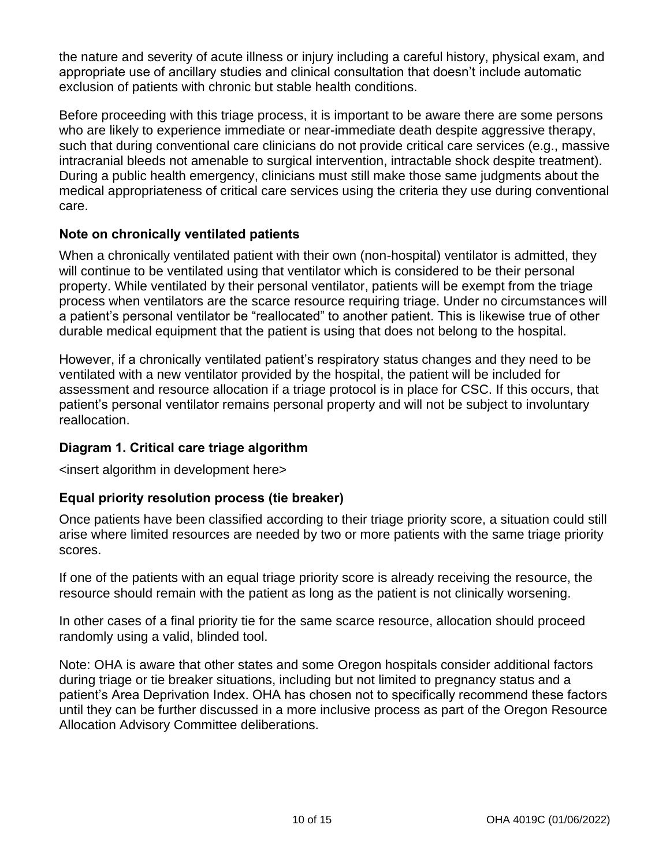the nature and severity of acute illness or injury including a careful history, physical exam, and appropriate use of ancillary studies and clinical consultation that doesn't include automatic exclusion of patients with chronic but stable health conditions.

Before proceeding with this triage process, it is important to be aware there are some persons who are likely to experience immediate or near-immediate death despite aggressive therapy, such that during conventional care clinicians do not provide critical care services (e.g., massive intracranial bleeds not amenable to surgical intervention, intractable shock despite treatment). During a public health emergency, clinicians must still make those same judgments about the medical appropriateness of critical care services using the criteria they use during conventional care.

#### **Note on chronically ventilated patients**

When a chronically ventilated patient with their own (non-hospital) ventilator is admitted, they will continue to be ventilated using that ventilator which is considered to be their personal property. While ventilated by their personal ventilator, patients will be exempt from the triage process when ventilators are the scarce resource requiring triage. Under no circumstances will a patient's personal ventilator be "reallocated" to another patient. This is likewise true of other durable medical equipment that the patient is using that does not belong to the hospital.

However, if a chronically ventilated patient's respiratory status changes and they need to be ventilated with a new ventilator provided by the hospital, the patient will be included for assessment and resource allocation if a triage protocol is in place for CSC. If this occurs, that patient's personal ventilator remains personal property and will not be subject to involuntary reallocation.

#### **Diagram 1. Critical care triage algorithm**

<insert algorithm in development here>

#### **Equal priority resolution process (tie breaker)**

Once patients have been classified according to their triage priority score, a situation could still arise where limited resources are needed by two or more patients with the same triage priority scores.

If one of the patients with an equal triage priority score is already receiving the resource, the resource should remain with the patient as long as the patient is not clinically worsening.

In other cases of a final priority tie for the same scarce resource, allocation should proceed randomly using a valid, blinded tool.

Note: OHA is aware that other states and some Oregon hospitals consider additional factors during triage or tie breaker situations, including but not limited to pregnancy status and a patient's Area Deprivation Index. OHA has chosen not to specifically recommend these factors until they can be further discussed in a more inclusive process as part of the Oregon Resource Allocation Advisory Committee deliberations.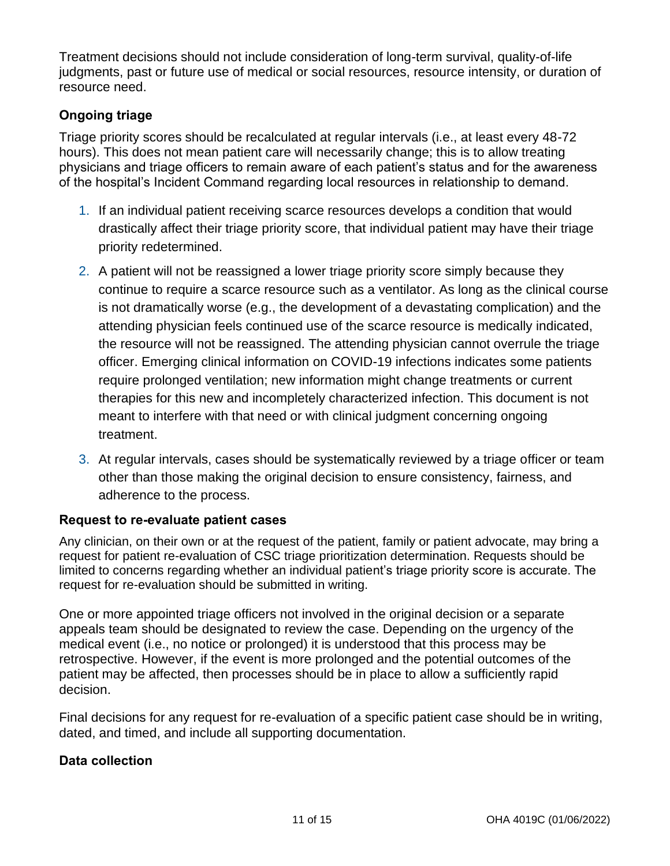Treatment decisions should not include consideration of long-term survival, quality-of-life judgments, past or future use of medical or social resources, resource intensity, or duration of resource need.

#### **Ongoing triage**

Triage priority scores should be recalculated at regular intervals (i.e., at least every 48-72 hours). This does not mean patient care will necessarily change; this is to allow treating physicians and triage officers to remain aware of each patient's status and for the awareness of the hospital's Incident Command regarding local resources in relationship to demand.

- 1. If an individual patient receiving scarce resources develops a condition that would drastically affect their triage priority score, that individual patient may have their triage priority redetermined.
- 2. A patient will not be reassigned a lower triage priority score simply because they continue to require a scarce resource such as a ventilator. As long as the clinical course is not dramatically worse (e.g., the development of a devastating complication) and the attending physician feels continued use of the scarce resource is medically indicated, the resource will not be reassigned. The attending physician cannot overrule the triage officer. Emerging clinical information on COVID-19 infections indicates some patients require prolonged ventilation; new information might change treatments or current therapies for this new and incompletely characterized infection. This document is not meant to interfere with that need or with clinical judgment concerning ongoing treatment.
- 3. At regular intervals, cases should be systematically reviewed by a triage officer or team other than those making the original decision to ensure consistency, fairness, and adherence to the process.

#### **Request to re-evaluate patient cases**

Any clinician, on their own or at the request of the patient, family or patient advocate, may bring a request for patient re-evaluation of CSC triage prioritization determination. Requests should be limited to concerns regarding whether an individual patient's triage priority score is accurate. The request for re-evaluation should be submitted in writing.

One or more appointed triage officers not involved in the original decision or a separate appeals team should be designated to review the case. Depending on the urgency of the medical event (i.e., no notice or prolonged) it is understood that this process may be retrospective. However, if the event is more prolonged and the potential outcomes of the patient may be affected, then processes should be in place to allow a sufficiently rapid decision.

Final decisions for any request for re-evaluation of a specific patient case should be in writing, dated, and timed, and include all supporting documentation.

#### **Data collection**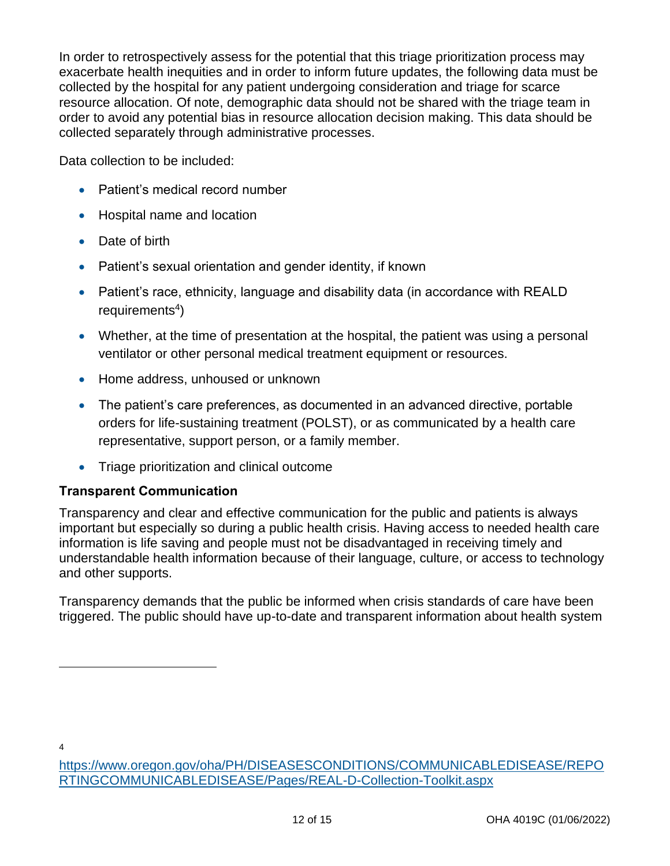In order to retrospectively assess for the potential that this triage prioritization process may exacerbate health inequities and in order to inform future updates, the following data must be collected by the hospital for any patient undergoing consideration and triage for scarce resource allocation. Of note, demographic data should not be shared with the triage team in order to avoid any potential bias in resource allocation decision making. This data should be collected separately through administrative processes.

Data collection to be included:

- Patient's medical record number
- Hospital name and location
- Date of birth
- Patient's sexual orientation and gender identity, if known
- Patient's race, ethnicity, language and disability data (in accordance with REALD requirements<sup>4</sup>)
- Whether, at the time of presentation at the hospital, the patient was using a personal ventilator or other personal medical treatment equipment or resources.
- Home address, unhoused or unknown
- The patient's care preferences, as documented in an advanced directive, portable orders for life-sustaining treatment (POLST), or as communicated by a health care representative, support person, or a family member.
- Triage prioritization and clinical outcome

#### **Transparent Communication**

Transparency and clear and effective communication for the public and patients is always important but especially so during a public health crisis. Having access to needed health care information is life saving and people must not be disadvantaged in receiving timely and understandable health information because of their language, culture, or access to technology and other supports.

Transparency demands that the public be informed when crisis standards of care have been triggered. The public should have up-to-date and transparent information about health system

4

[https://www.oregon.gov/oha/PH/DISEASESCONDITIONS/COMMUNICABLEDISEASE/REPO](https://www.oregon.gov/oha/PH/DISEASESCONDITIONS/COMMUNICABLEDISEASE/REPORTINGCOMMUNICABLEDISEASE/Pages/REAL-D-Collection-Toolkit.aspx) [RTINGCOMMUNICABLEDISEASE/Pages/REAL-D-Collection-Toolkit.aspx](https://www.oregon.gov/oha/PH/DISEASESCONDITIONS/COMMUNICABLEDISEASE/REPORTINGCOMMUNICABLEDISEASE/Pages/REAL-D-Collection-Toolkit.aspx)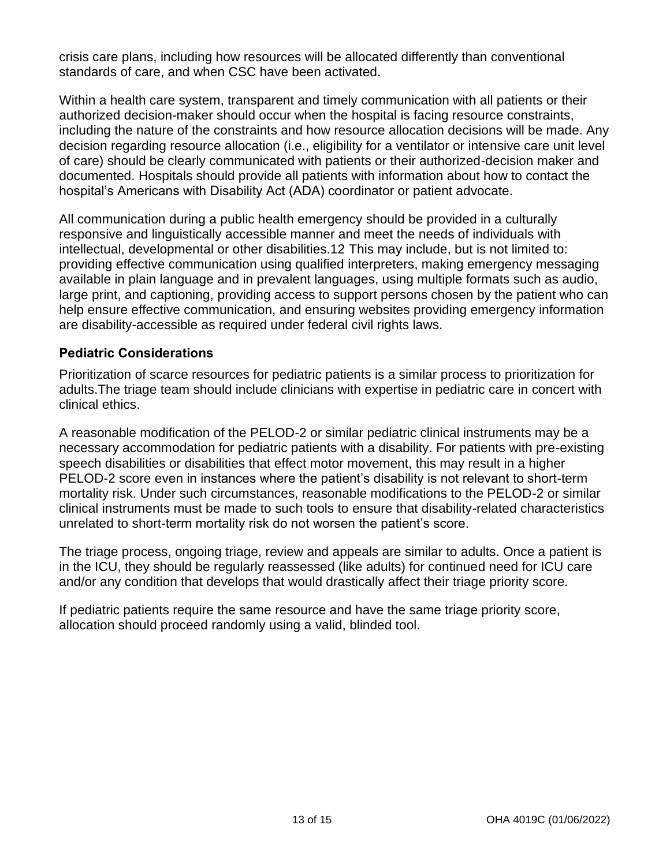crisis care plans, including how resources will be allocated differently than conventional standards of care, and when CSC have been activated.

Within a health care system, transparent and timely communication with all patients or their authorized decision-maker should occur when the hospital is facing resource constraints, including the nature of the constraints and how resource allocation decisions will be made. Any decision regarding resource allocation (i.e., eligibility for a ventilator or intensive care unit level of care) should be clearly communicated with patients or their authorized-decision maker and documented. Hospitals should provide all patients with information about how to contact the hospital's Americans with Disability Act (ADA) coordinator or patient advocate.

All communication during a public health emergency should be provided in a culturally responsive and linguistically accessible manner and meet the needs of individuals with intellectual, developmental or other disabilities.12 This may include, but is not limited to: providing effective communication using qualified interpreters, making emergency messaging available in plain language and in prevalent languages, using multiple formats such as audio, large print, and captioning, providing access to support persons chosen by the patient who can help ensure effective communication, and ensuring websites providing emergency information are disability-accessible as required under federal civil rights laws.

#### **Pediatric Considerations**

Prioritization of scarce resources for pediatric patients is a similar process to prioritization for adults.The triage team should include clinicians with expertise in pediatric care in concert with clinical ethics.

A reasonable modification of the PELOD-2 or similar pediatric clinical instruments may be a necessary accommodation for pediatric patients with a disability. For patients with pre-existing speech disabilities or disabilities that effect motor movement, this may result in a higher PELOD-2 score even in instances where the patient's disability is not relevant to short-term mortality risk. Under such circumstances, reasonable modifications to the PELOD-2 or similar clinical instruments must be made to such tools to ensure that disability-related characteristics unrelated to short-term mortality risk do not worsen the patient's score.

The triage process, ongoing triage, review and appeals are similar to adults. Once a patient is in the ICU, they should be regularly reassessed (like adults) for continued need for ICU care and/or any condition that develops that would drastically affect their triage priority score.

If pediatric patients require the same resource and have the same triage priority score, allocation should proceed randomly using a valid, blinded tool.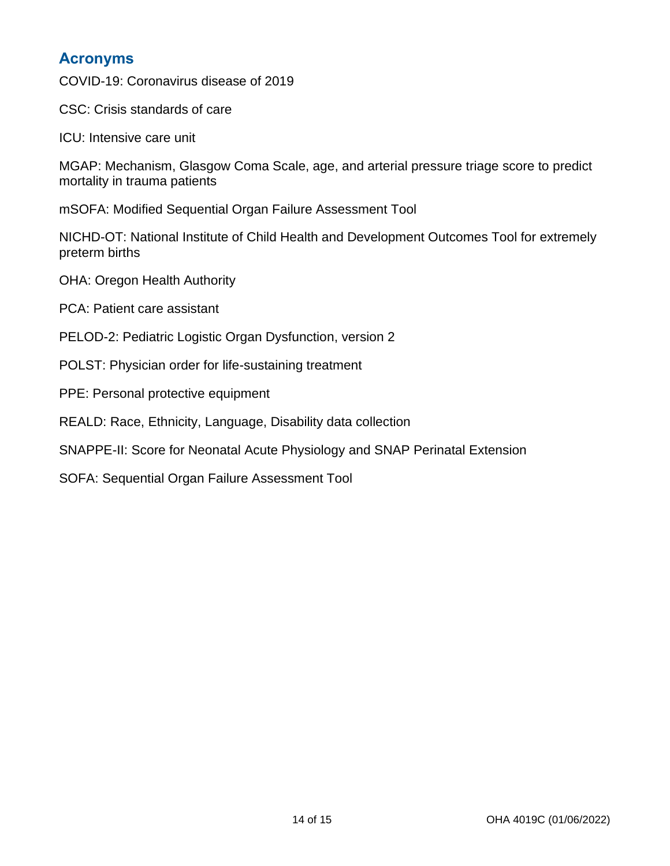### **Acronyms**

COVID-19: Coronavirus disease of 2019

CSC: Crisis standards of care

ICU: Intensive care unit

MGAP: Mechanism, Glasgow Coma Scale, age, and arterial pressure triage score to predict mortality in trauma patients

mSOFA: Modified Sequential Organ Failure Assessment Tool

NICHD-OT: National Institute of Child Health and Development Outcomes Tool for extremely preterm births

OHA: Oregon Health Authority

PCA: Patient care assistant

- PELOD-2: Pediatric Logistic Organ Dysfunction, version 2
- POLST: Physician order for life-sustaining treatment
- PPE: Personal protective equipment
- REALD: Race, Ethnicity, Language, Disability data collection
- SNAPPE-II: Score for Neonatal Acute Physiology and SNAP Perinatal Extension
- SOFA: Sequential Organ Failure Assessment Tool